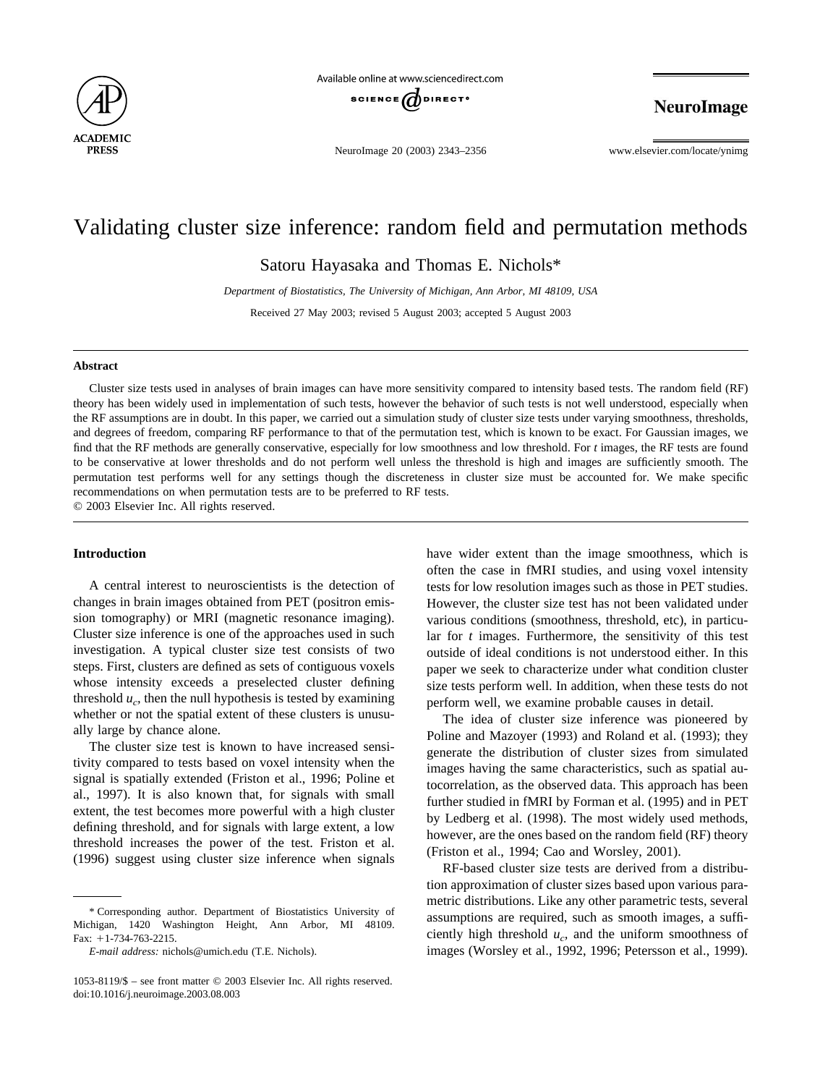

Available online at www.sciencedirect.com SCIENCE  $d$  DIRECT<sup>+</sup>

NeuroImage 20 (2003) 2343–2356 www.elsevier.com/locate/ynimg

NeuroImage

# Validating cluster size inference: random field and permutation methods

Satoru Hayasaka and Thomas E. Nichols\*

*Department of Biostatistics, The University of Michigan, Ann Arbor, MI 48109, USA*

Received 27 May 2003; revised 5 August 2003; accepted 5 August 2003

## **Abstract**

Cluster size tests used in analyses of brain images can have more sensitivity compared to intensity based tests. The random field (RF) theory has been widely used in implementation of such tests, however the behavior of such tests is not well understood, especially when the RF assumptions are in doubt. In this paper, we carried out a simulation study of cluster size tests under varying smoothness, thresholds, and degrees of freedom, comparing RF performance to that of the permutation test, which is known to be exact. For Gaussian images, we find that the RF methods are generally conservative, especially for low smoothness and low threshold. For *t* images, the RF tests are found to be conservative at lower thresholds and do not perform well unless the threshold is high and images are sufficiently smooth. The permutation test performs well for any settings though the discreteness in cluster size must be accounted for. We make specific recommendations on when permutation tests are to be preferred to RF tests.

© 2003 Elsevier Inc. All rights reserved.

# **Introduction**

A central interest to neuroscientists is the detection of changes in brain images obtained from PET (positron emission tomography) or MRI (magnetic resonance imaging). Cluster size inference is one of the approaches used in such investigation. A typical cluster size test consists of two steps. First, clusters are defined as sets of contiguous voxels whose intensity exceeds a preselected cluster defining threshold  $u_c$ , then the null hypothesis is tested by examining whether or not the spatial extent of these clusters is unusually large by chance alone.

The cluster size test is known to have increased sensitivity compared to tests based on voxel intensity when the signal is spatially extended [\(Friston et al., 1996; Poline et](#page-12-0) [al., 1997\).](#page-12-0) It is also known that, for signals with small extent, the test becomes more powerful with a high cluster defining threshold, and for signals with large extent, a low threshold increases the power of the test. [Friston et al.](#page-12-0) [\(1996\)](#page-12-0) suggest using cluster size inference when signals have wider extent than the image smoothness, which is often the case in fMRI studies, and using voxel intensity tests for low resolution images such as those in PET studies. However, the cluster size test has not been validated under various conditions (smoothness, threshold, etc), in particular for *t* images. Furthermore, the sensitivity of this test outside of ideal conditions is not understood either. In this paper we seek to characterize under what condition cluster size tests perform well. In addition, when these tests do not perform well, we examine probable causes in detail.

The idea of cluster size inference was pioneered by [Poline and Mazoyer \(1993\)](#page-13-0) and [Roland et al. \(1993\);](#page-13-0) they generate the distribution of cluster sizes from simulated images having the same characteristics, such as spatial autocorrelation, as the observed data. This approach has been further studied in fMRI by [Forman et al. \(1995\)](#page-12-0) and in PET by [Ledberg et al. \(1998\).](#page-13-0) The most widely used methods, however, are the ones based on the random field (RF) theory [\(Friston et al., 1994; Cao and Worsley, 2001\).](#page-12-0)

RF-based cluster size tests are derived from a distribution approximation of cluster sizes based upon various parametric distributions. Like any other parametric tests, several assumptions are required, such as smooth images, a sufficiently high threshold  $u_c$ , and the uniform smoothness of images [\(Worsley et al., 1992, 1996; Petersson et al., 1999\).](#page-13-0)

<sup>\*</sup> Corresponding author. Department of Biostatistics University of Michigan, 1420 Washington Height, Ann Arbor, MI 48109. Fax:  $+1-734-763-2215$ .

*E-mail address:* nichols@umich.edu (T.E. Nichols).

<sup>1053-8119/\$ –</sup> see front matter © 2003 Elsevier Inc. All rights reserved. doi:10.1016/j.neuroimage.2003.08.003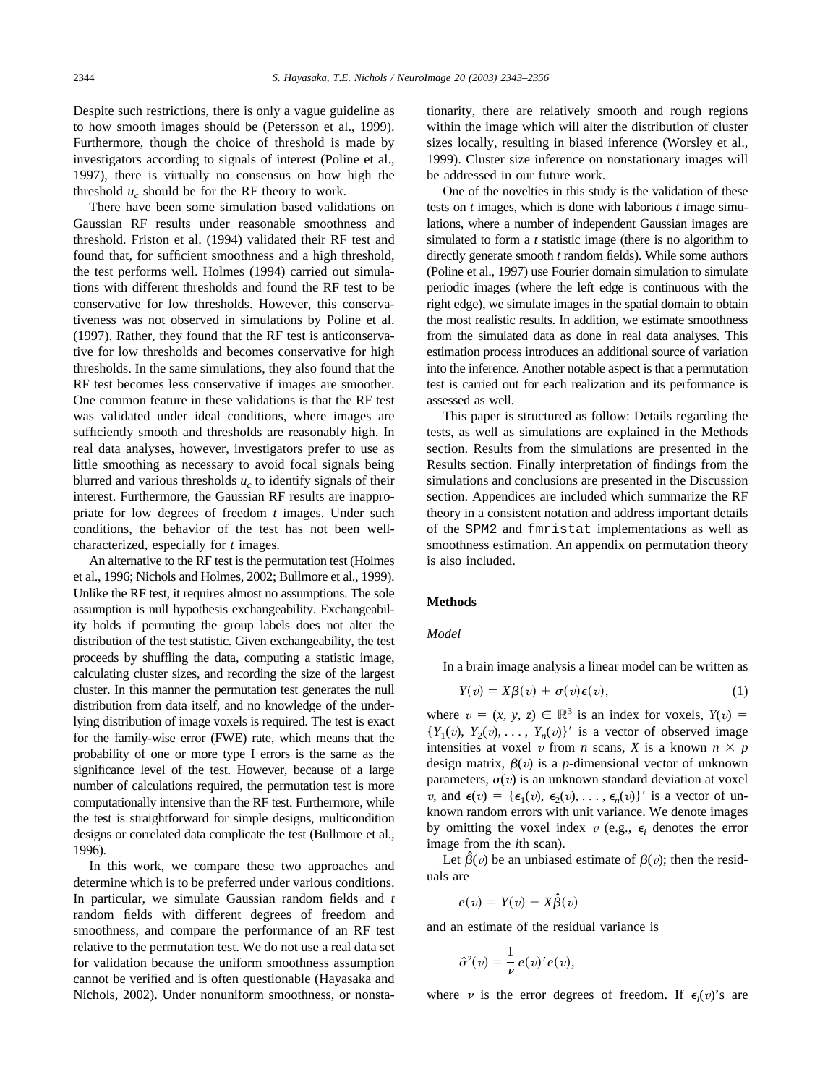Despite such restrictions, there is only a vague guideline as to how smooth images should be [\(Petersson et al., 1999\).](#page-13-0) Furthermore, though the choice of threshold is made by investigators according to signals of interest [\(Poline et al.,](#page-13-0) [1997\),](#page-13-0) there is virtually no consensus on how high the threshold  $u_c$  should be for the RF theory to work.

There have been some simulation based validations on Gaussian RF results under reasonable smoothness and threshold. [Friston et al. \(1994\)](#page-12-0) validated their RF test and found that, for sufficient smoothness and a high threshold, the test performs well. [Holmes \(1994\)](#page-12-0) carried out simulations with different thresholds and found the RF test to be conservative for low thresholds. However, this conservativeness was not observed in simulations by [Poline et al.](#page-13-0) [\(1997\).](#page-13-0) Rather, they found that the RF test is anticonservative for low thresholds and becomes conservative for high thresholds. In the same simulations, they also found that the RF test becomes less conservative if images are smoother. One common feature in these validations is that the RF test was validated under ideal conditions, where images are sufficiently smooth and thresholds are reasonably high. In real data analyses, however, investigators prefer to use as little smoothing as necessary to avoid focal signals being blurred and various thresholds  $u_c$  to identify signals of their interest. Furthermore, the Gaussian RF results are inappropriate for low degrees of freedom *t* images. Under such conditions, the behavior of the test has not been wellcharacterized, especially for *t* images.

An alternative to the RF test is the permutation test [\(Holmes](#page-12-0) [et al., 1996; Nichols and Holmes, 2002; Bullmore et al., 1999\).](#page-12-0) Unlike the RF test, it requires almost no assumptions. The sole assumption is null hypothesis exchangeability. Exchangeability holds if permuting the group labels does not alter the distribution of the test statistic. Given exchangeability, the test proceeds by shuffling the data, computing a statistic image, calculating cluster sizes, and recording the size of the largest cluster. In this manner the permutation test generates the null distribution from data itself, and no knowledge of the underlying distribution of image voxels is required. The test is exact for the family-wise error (FWE) rate, which means that the probability of one or more type I errors is the same as the significance level of the test. However, because of a large number of calculations required, the permutation test is more computationally intensive than the RF test. Furthermore, while the test is straightforward for simple designs, multicondition designs or correlated data complicate the test [\(Bullmore et al.,](#page-12-0) [1996\).](#page-12-0)

In this work, we compare these two approaches and determine which is to be preferred under various conditions. In particular, we simulate Gaussian random fields and *t* random fields with different degrees of freedom and smoothness, and compare the performance of an RF test relative to the permutation test. We do not use a real data set for validation because the uniform smoothness assumption cannot be verified and is often questionable [\(Hayasaka and](#page-12-0) [Nichols, 2002\).](#page-12-0) Under nonuniform smoothness, or nonstationarity, there are relatively smooth and rough regions within the image which will alter the distribution of cluster sizes locally, resulting in biased inference [\(Worsley et al.,](#page-13-0) [1999\).](#page-13-0) Cluster size inference on nonstationary images will be addressed in our future work.

One of the novelties in this study is the validation of these tests on *t* images, which is done with laborious *t* image simulations, where a number of independent Gaussian images are simulated to form a *t* statistic image (there is no algorithm to directly generate smooth *t* random fields). While some authors [\(Poline et al., 1997\)](#page-13-0) use Fourier domain simulation to simulate periodic images (where the left edge is continuous with the right edge), we simulate images in the spatial domain to obtain the most realistic results. In addition, we estimate smoothness from the simulated data as done in real data analyses. This estimation process introduces an additional source of variation into the inference. Another notable aspect is that a permutation test is carried out for each realization and its performance is assessed as well.

This paper is structured as follow: Details regarding the tests, as well as simulations are explained in the Methods section. Results from the simulations are presented in the Results section. Finally interpretation of findings from the simulations and conclusions are presented in the Discussion section. Appendices are included which summarize the RF theory in a consistent notation and address important details of the SPM2 and fmristat implementations as well as smoothness estimation. An appendix on permutation theory is also included.

# **Methods**

## *Model*

In a brain image analysis a linear model can be written as

$$
Y(v) = X\beta(v) + \sigma(v)\epsilon(v), \qquad (1)
$$

where  $v = (x, y, z) \in \mathbb{R}^3$  is an index for voxels,  $Y(v) =$  ${Y_1(v), Y_2(v), \ldots, Y_n(v)}'$  is a vector of observed image intensities at voxel *v* from *n* scans, *X* is a known  $n \times p$ design matrix,  $\beta(v)$  is a *p*-dimensional vector of unknown parameters,  $\sigma(v)$  is an unknown standard deviation at voxel *v*, and  $\epsilon(v) = {\epsilon_1(v), \epsilon_2(v), \ldots, \epsilon_n(v)}'$  is a vector of unknown random errors with unit variance. We denote images by omitting the voxel index  $v$  (e.g.,  $\epsilon$ , denotes the error image from the *i*th scan).

Let  $\hat{\beta}(v)$  be an unbiased estimate of  $\beta(v)$ ; then the residuals are

$$
e(v) = Y(v) - X\hat{\beta}(v)
$$

and an estimate of the residual variance is

$$
\hat{\sigma}^2(v) = \frac{1}{v} e(v)'e(v),
$$

where  $\nu$  is the error degrees of freedom. If  $\epsilon_i(v)$ 's are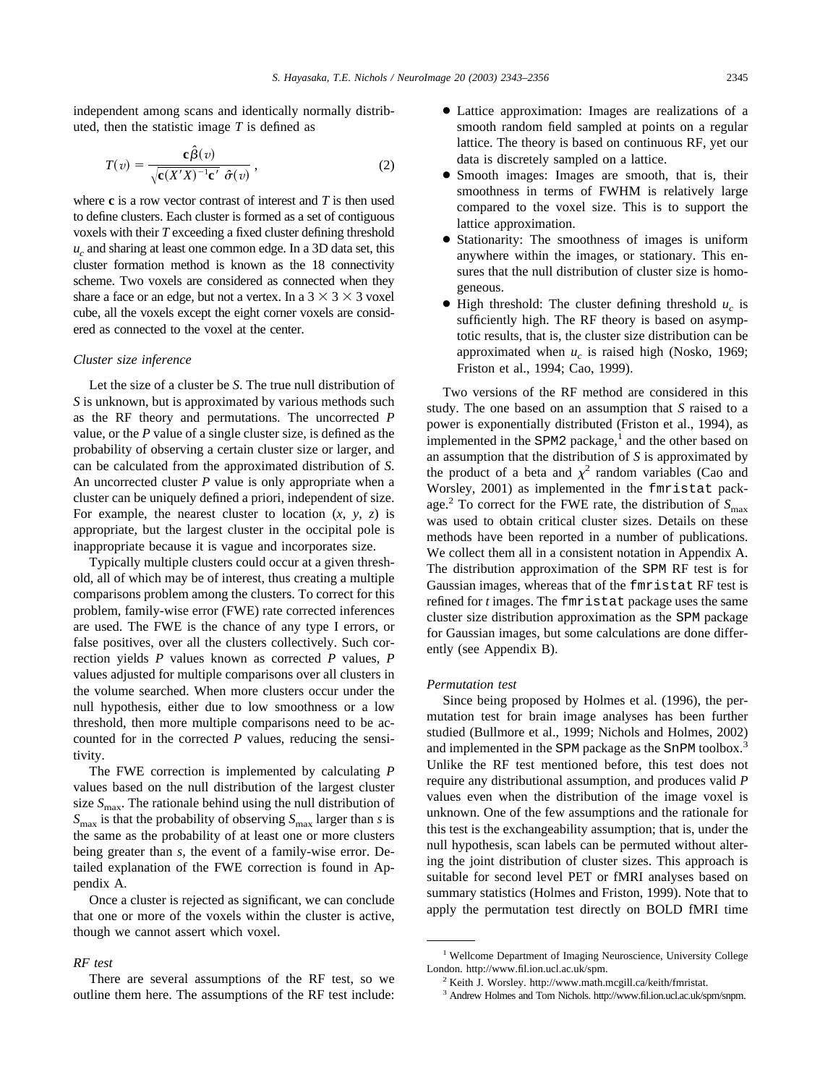independent among scans and identically normally distributed, then the statistic image *T* is defined as

$$
T(v) = \frac{\mathbf{c}\hat{\beta}(v)}{\sqrt{\mathbf{c}(X'X)^{-1}\mathbf{c}'\ \hat{\sigma}(v)}},\tag{2}
$$

where **c** is a row vector contrast of interest and *T* is then used to define clusters. Each cluster is formed as a set of contiguous voxels with their *T* exceeding a fixed cluster defining threshold  $u_c$  and sharing at least one common edge. In a 3D data set, this cluster formation method is known as the 18 connectivity scheme. Two voxels are considered as connected when they share a face or an edge, but not a vertex. In a  $3 \times 3 \times 3$  voxel cube, all the voxels except the eight corner voxels are considered as connected to the voxel at the center.

## *Cluster size inference*

Let the size of a cluster be *S*. The true null distribution of *S* is unknown, but is approximated by various methods such as the RF theory and permutations. The uncorrected *P* value, or the *P* value of a single cluster size, is defined as the probability of observing a certain cluster size or larger, and can be calculated from the approximated distribution of *S*. An uncorrected cluster *P* value is only appropriate when a cluster can be uniquely defined a priori, independent of size. For example, the nearest cluster to location  $(x, y, z)$  is appropriate, but the largest cluster in the occipital pole is inappropriate because it is vague and incorporates size.

Typically multiple clusters could occur at a given threshold, all of which may be of interest, thus creating a multiple comparisons problem among the clusters. To correct for this problem, family-wise error (FWE) rate corrected inferences are used. The FWE is the chance of any type I errors, or false positives, over all the clusters collectively. Such correction yields *P* values known as corrected *P* values, *P* values adjusted for multiple comparisons over all clusters in the volume searched. When more clusters occur under the null hypothesis, either due to low smoothness or a low threshold, then more multiple comparisons need to be accounted for in the corrected *P* values, reducing the sensitivity.

The FWE correction is implemented by calculating *P* values based on the null distribution of the largest cluster size  $S_{\text{max}}$ . The rationale behind using the null distribution of  $S_{\text{max}}$  is that the probability of observing  $S_{\text{max}}$  larger than *s* is the same as the probability of at least one or more clusters being greater than *s,* the event of a family-wise error. Detailed explanation of the FWE correction is found in Appendix A.

Once a cluster is rejected as significant, we can conclude that one or more of the voxels within the cluster is active, though we cannot assert which voxel.

## *RF test*

There are several assumptions of the RF test, so we outline them here. The assumptions of the RF test include:

- Lattice approximation: Images are realizations of a smooth random field sampled at points on a regular lattice. The theory is based on continuous RF, yet our data is discretely sampled on a lattice.
- Smooth images: Images are smooth, that is, their smoothness in terms of FWHM is relatively large compared to the voxel size. This is to support the lattice approximation.
- Stationarity: The smoothness of images is uniform anywhere within the images, or stationary. This ensures that the null distribution of cluster size is homogeneous.
- $\bullet$  High threshold: The cluster defining threshold  $u_c$  is sufficiently high. The RF theory is based on asymptotic results, that is, the cluster size distribution can be approximated when  $u_c$  is raised high [\(Nosko, 1969;](#page-13-0) [Friston et al., 1994; Cao, 1999\).](#page-13-0)

Two versions of the RF method are considered in this study. The one based on an assumption that *S* raised to a power is exponentially distributed [\(Friston et al., 1994\),](#page-12-0) as implemented in the SPM2 package, $\frac{1}{1}$  and the other based on an assumption that the distribution of *S* is approximated by the product of a beta and  $\chi^2$  random variables [\(Cao and](#page-12-0) [Worsley, 2001\)](#page-12-0) as implemented in the fmristat package.<sup>2</sup> To correct for the FWE rate, the distribution of  $S_{\text{max}}$ was used to obtain critical cluster sizes. Details on these methods have been reported in a number of publications. We collect them all in a consistent notation in Appendix A. The distribution approximation of the SPM RF test is for Gaussian images, whereas that of the fmristat RF test is refined for *t* images. The fmristat package uses the same cluster size distribution approximation as the SPM package for Gaussian images, but some calculations are done differently (see Appendix B).

## *Permutation test*

Since being proposed by [Holmes et al. \(1996\),](#page-12-0) the permutation test for brain image analyses has been further studied [\(Bullmore et al., 1999; Nichols and Holmes, 2002\)](#page-12-0) and implemented in the SPM package as the SnPM toolbox.<sup>3</sup> Unlike the RF test mentioned before, this test does not require any distributional assumption, and produces valid *P* values even when the distribution of the image voxel is unknown. One of the few assumptions and the rationale for this test is the exchangeability assumption; that is, under the null hypothesis, scan labels can be permuted without altering the joint distribution of cluster sizes. This approach is suitable for second level PET or fMRI analyses based on summary statistics [\(Holmes and Friston, 1999\).](#page-12-0) Note that to apply the permutation test directly on BOLD fMRI time

<sup>&</sup>lt;sup>1</sup> Wellcome Department of Imaging Neuroscience, University College London. [http://www.fil.ion.ucl.ac.uk/spm.](http://www.fil.ion.ucl.ac.uk/spm)

<sup>2</sup> Keith J. Worsley. [http://www.math.mcgill.ca/keith/fmristat.](http://www.math.mcgill.ca/keith/fmristat)

<sup>3</sup> Andrew Holmes and Tom Nichols. [http://www.fil.ion.ucl.ac.uk/spm/snpm.](http://www.fil.ion.ucl.ac.uk/spm/snpm)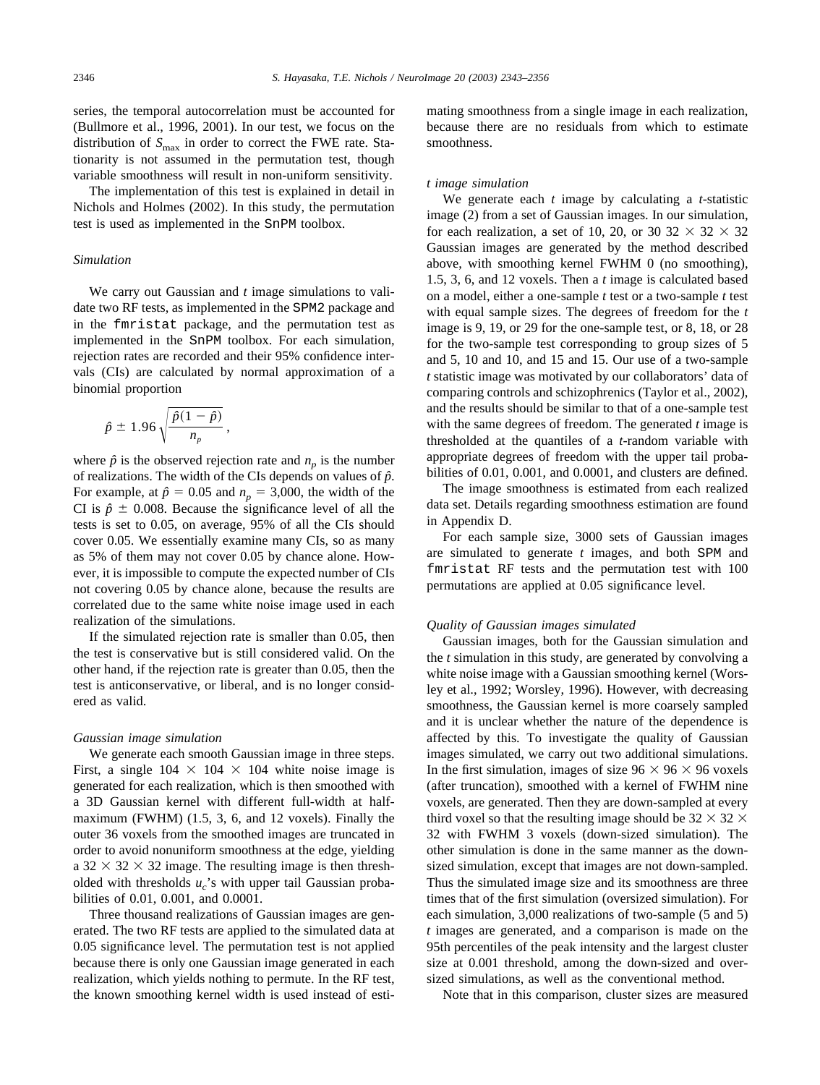series, the temporal autocorrelation must be accounted for [\(Bullmore et al., 1996, 2001\).](#page-12-0) In our test, we focus on the distribution of  $S_{\text{max}}$  in order to correct the FWE rate. Stationarity is not assumed in the permutation test, though variable smoothness will result in non-uniform sensitivity.

The implementation of this test is explained in detail in [Nichols and Holmes \(2002\).](#page-13-0) In this study, the permutation test is used as implemented in the SnPM toolbox.

## *Simulation*

We carry out Gaussian and *t* image simulations to validate two RF tests, as implemented in the SPM2 package and in the fmristat package, and the permutation test as implemented in the SnPM toolbox. For each simulation, rejection rates are recorded and their 95% confidence intervals (CIs) are calculated by normal approximation of a binomial proportion

$$
\hat{p} \pm 1.96 \sqrt{\frac{\hat{p}(1-\hat{p})}{n_p}},
$$

where  $\hat{p}$  is the observed rejection rate and  $n_p$  is the number of realizations. The width of the CIs depends on values of  $\hat{p}$ . For example, at  $\hat{p} = 0.05$  and  $n_p = 3,000$ , the width of the CI is  $\hat{p} \pm 0.008$ . Because the significance level of all the tests is set to 0.05, on average, 95% of all the CIs should cover 0.05. We essentially examine many CIs, so as many as 5% of them may not cover 0.05 by chance alone. However, it is impossible to compute the expected number of CIs not covering 0.05 by chance alone, because the results are correlated due to the same white noise image used in each realization of the simulations.

If the simulated rejection rate is smaller than 0.05, then the test is conservative but is still considered valid. On the other hand, if the rejection rate is greater than 0.05, then the test is anticonservative, or liberal, and is no longer considered as valid.

## *Gaussian image simulation*

We generate each smooth Gaussian image in three steps. First, a single  $104 \times 104 \times 104$  white noise image is generated for each realization, which is then smoothed with a 3D Gaussian kernel with different full-width at halfmaximum (FWHM) (1.5, 3, 6, and 12 voxels). Finally the outer 36 voxels from the smoothed images are truncated in order to avoid nonuniform smoothness at the edge, yielding a  $32 \times 32 \times 32$  image. The resulting image is then thresholded with thresholds  $u_c$ 's with upper tail Gaussian probabilities of 0.01, 0.001, and 0.0001.

Three thousand realizations of Gaussian images are generated. The two RF tests are applied to the simulated data at 0.05 significance level. The permutation test is not applied because there is only one Gaussian image generated in each realization, which yields nothing to permute. In the RF test, the known smoothing kernel width is used instead of estimating smoothness from a single image in each realization, because there are no residuals from which to estimate smoothness.

#### *t image simulation*

We generate each *t* image by calculating a *t*-statistic image (2) from a set of Gaussian images. In our simulation, for each realization, a set of 10, 20, or 30 32  $\times$  32  $\times$  32 Gaussian images are generated by the method described above, with smoothing kernel FWHM 0 (no smoothing), 1.5, 3, 6, and 12 voxels. Then a *t* image is calculated based on a model, either a one-sample *t* test or a two-sample *t* test with equal sample sizes. The degrees of freedom for the *t* image is 9, 19, or 29 for the one-sample test, or 8, 18, or 28 for the two-sample test corresponding to group sizes of 5 and 5, 10 and 10, and 15 and 15. Our use of a two-sample *t* statistic image was motivated by our collaborators' data of comparing controls and schizophrenics [\(Taylor et al., 2002\),](#page-13-0) and the results should be similar to that of a one-sample test with the same degrees of freedom. The generated *t* image is thresholded at the quantiles of a *t*-random variable with appropriate degrees of freedom with the upper tail probabilities of 0.01, 0.001, and 0.0001, and clusters are defined.

The image smoothness is estimated from each realized data set. Details regarding smoothness estimation are found in Appendix D.

For each sample size, 3000 sets of Gaussian images are simulated to generate *t* images, and both SPM and fmristat RF tests and the permutation test with 100 permutations are applied at 0.05 significance level.

## *Quality of Gaussian images simulated*

Gaussian images, both for the Gaussian simulation and the *t* simulation in this study, are generated by convolving a white noise image with a Gaussian smoothing kernel [\(Wors](#page-13-0)[ley et al., 1992; Worsley, 1996\).](#page-13-0) However, with decreasing smoothness, the Gaussian kernel is more coarsely sampled and it is unclear whether the nature of the dependence is affected by this. To investigate the quality of Gaussian images simulated, we carry out two additional simulations. In the first simulation, images of size  $96 \times 96 \times 96$  voxels (after truncation), smoothed with a kernel of FWHM nine voxels, are generated. Then they are down-sampled at every third voxel so that the resulting image should be  $32 \times 32 \times$ 32 with FWHM 3 voxels (down-sized simulation). The other simulation is done in the same manner as the downsized simulation, except that images are not down-sampled. Thus the simulated image size and its smoothness are three times that of the first simulation (oversized simulation). For each simulation, 3,000 realizations of two-sample (5 and 5) *t* images are generated, and a comparison is made on the 95th percentiles of the peak intensity and the largest cluster size at 0.001 threshold, among the down-sized and oversized simulations, as well as the conventional method.

Note that in this comparison, cluster sizes are measured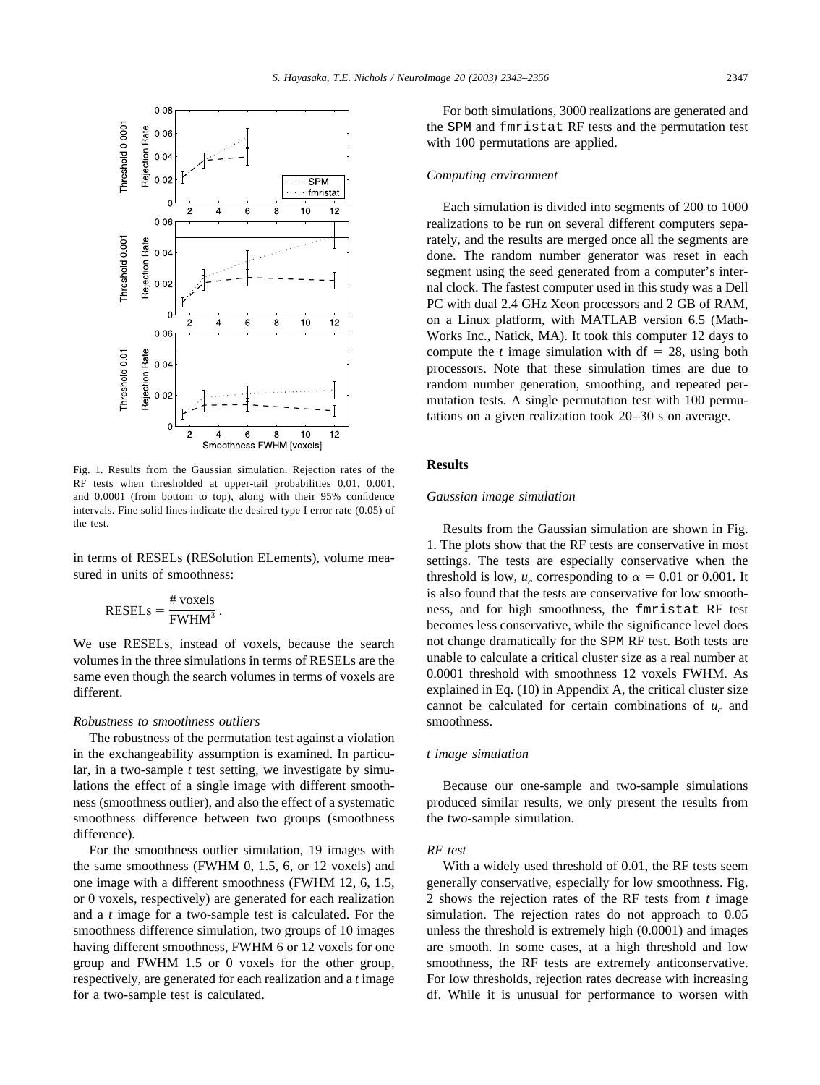<span id="page-4-0"></span>

Fig. 1. Results from the Gaussian simulation. Rejection rates of the RF tests when thresholded at upper-tail probabilities 0.01, 0.001, and 0.0001 (from bottom to top), along with their 95% confidence intervals. Fine solid lines indicate the desired type I error rate (0.05) of the test.

in terms of RESELs (RESolution ELements), volume measured in units of smoothness:

$$
RESELs = \frac{\text{\# voxels}}{FWHM^3}.
$$

We use RESELs, instead of voxels, because the search volumes in the three simulations in terms of RESELs are the same even though the search volumes in terms of voxels are different.

#### *Robustness to smoothness outliers*

The robustness of the permutation test against a violation in the exchangeability assumption is examined. In particular, in a two-sample *t* test setting, we investigate by simulations the effect of a single image with different smoothness (smoothness outlier), and also the effect of a systematic smoothness difference between two groups (smoothness difference).

For the smoothness outlier simulation, 19 images with the same smoothness (FWHM 0, 1.5, 6, or 12 voxels) and one image with a different smoothness (FWHM 12, 6, 1.5, or 0 voxels, respectively) are generated for each realization and a *t* image for a two-sample test is calculated. For the smoothness difference simulation, two groups of 10 images having different smoothness, FWHM 6 or 12 voxels for one group and FWHM 1.5 or 0 voxels for the other group, respectively, are generated for each realization and a *t* image for a two-sample test is calculated.

For both simulations, 3000 realizations are generated and the SPM and fmristat RF tests and the permutation test with 100 permutations are applied.

#### *Computing environment*

Each simulation is divided into segments of 200 to 1000 realizations to be run on several different computers separately, and the results are merged once all the segments are done. The random number generator was reset in each segment using the seed generated from a computer's internal clock. The fastest computer used in this study was a Dell PC with dual 2.4 GHz Xeon processors and 2 GB of RAM, on a Linux platform, with MATLAB version 6.5 (Math-Works Inc., Natick, MA). It took this computer 12 days to compute the *t* image simulation with  $df = 28$ , using both processors. Note that these simulation times are due to random number generation, smoothing, and repeated permutation tests. A single permutation test with 100 permutations on a given realization took 20–30 s on average.

# **Results**

## *Gaussian image simulation*

Results from the Gaussian simulation are shown in Fig. 1. The plots show that the RF tests are conservative in most settings. The tests are especially conservative when the threshold is low,  $u_c$  corresponding to  $\alpha = 0.01$  or 0.001. It is also found that the tests are conservative for low smoothness, and for high smoothness, the fmristat RF test becomes less conservative, while the significance level does not change dramatically for the SPM RF test. Both tests are unable to calculate a critical cluster size as a real number at 0.0001 threshold with smoothness 12 voxels FWHM. As explained in Eq. (10) in Appendix A, the critical cluster size cannot be calculated for certain combinations of  $u_c$  and smoothness.

# *t image simulation*

Because our one-sample and two-sample simulations produced similar results, we only present the results from the two-sample simulation.

## *RF test*

With a widely used threshold of 0.01, the RF tests seem generally conservative, especially for low smoothness. [Fig.](#page-5-0) [2](#page-5-0) shows the rejection rates of the RF tests from *t* image simulation. The rejection rates do not approach to 0.05 unless the threshold is extremely high (0.0001) and images are smooth. In some cases, at a high threshold and low smoothness, the RF tests are extremely anticonservative. For low thresholds, rejection rates decrease with increasing df. While it is unusual for performance to worsen with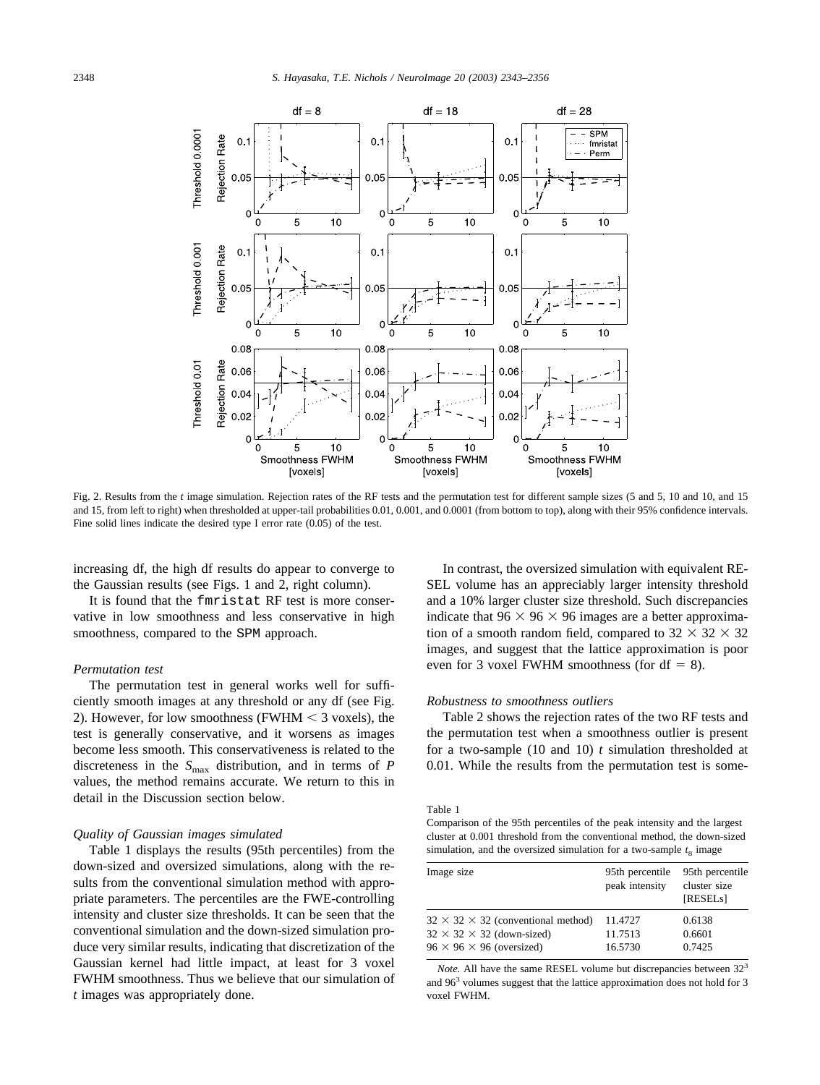<span id="page-5-0"></span>

Fig. 2. Results from the *t* image simulation. Rejection rates of the RF tests and the permutation test for different sample sizes (5 and 5, 10 and 10, and 15 and 15, from left to right) when thresholded at upper-tail probabilities 0.01, 0.001, and 0.0001 (from bottom to top), along with their 95% confidence intervals. Fine solid lines indicate the desired type I error rate (0.05) of the test.

increasing df, the high df results do appear to converge to the Gaussian results (see [Figs. 1](#page-4-0) and 2, right column).

It is found that the fmristat RF test is more conservative in low smoothness and less conservative in high smoothness, compared to the SPM approach.

# *Permutation test*

The permutation test in general works well for sufficiently smooth images at any threshold or any df (see Fig. 2). However, for low smoothness (FWHM  $\leq$  3 voxels), the test is generally conservative, and it worsens as images become less smooth. This conservativeness is related to the discreteness in the  $S_{\text{max}}$  distribution, and in terms of *P* values, the method remains accurate. We return to this in detail in the Discussion section below.

#### *Quality of Gaussian images simulated*

Table 1 displays the results (95th percentiles) from the down-sized and oversized simulations, along with the results from the conventional simulation method with appropriate parameters. The percentiles are the FWE-controlling intensity and cluster size thresholds. It can be seen that the conventional simulation and the down-sized simulation produce very similar results, indicating that discretization of the Gaussian kernel had little impact, at least for 3 voxel FWHM smoothness. Thus we believe that our simulation of *t* images was appropriately done.

In contrast, the oversized simulation with equivalent RE-SEL volume has an appreciably larger intensity threshold and a 10% larger cluster size threshold. Such discrepancies indicate that  $96 \times 96 \times 96$  images are a better approximation of a smooth random field, compared to  $32 \times 32 \times 32$ images, and suggest that the lattice approximation is poor even for 3 voxel FWHM smoothness (for  $df = 8$ ).

#### *Robustness to smoothness outliers*

[Table 2](#page-6-0) shows the rejection rates of the two RF tests and the permutation test when a smoothness outlier is present for a two-sample (10 and 10) *t* simulation thresholded at 0.01. While the results from the permutation test is some-

Table 1

Comparison of the 95th percentiles of the peak intensity and the largest cluster at 0.001 threshold from the conventional method, the down-sized simulation, and the oversized simulation for a two-sample  $t_8$  image

| Image size                                     | 95th percentile<br>peak intensity | 95th percentile<br>cluster size<br>[RESELs] |
|------------------------------------------------|-----------------------------------|---------------------------------------------|
| $32 \times 32 \times 32$ (conventional method) | 11.4727                           | 0.6138                                      |
| $32 \times 32 \times 32$ (down-sized)          | 11.7513                           | 0.6601                                      |
| $96 \times 96 \times 96$ (oversized)           | 16.5730                           | 0.7425                                      |

*Note.* All have the same RESEL volume but discrepancies between 323 and  $96<sup>3</sup>$  volumes suggest that the lattice approximation does not hold for 3 voxel FWHM.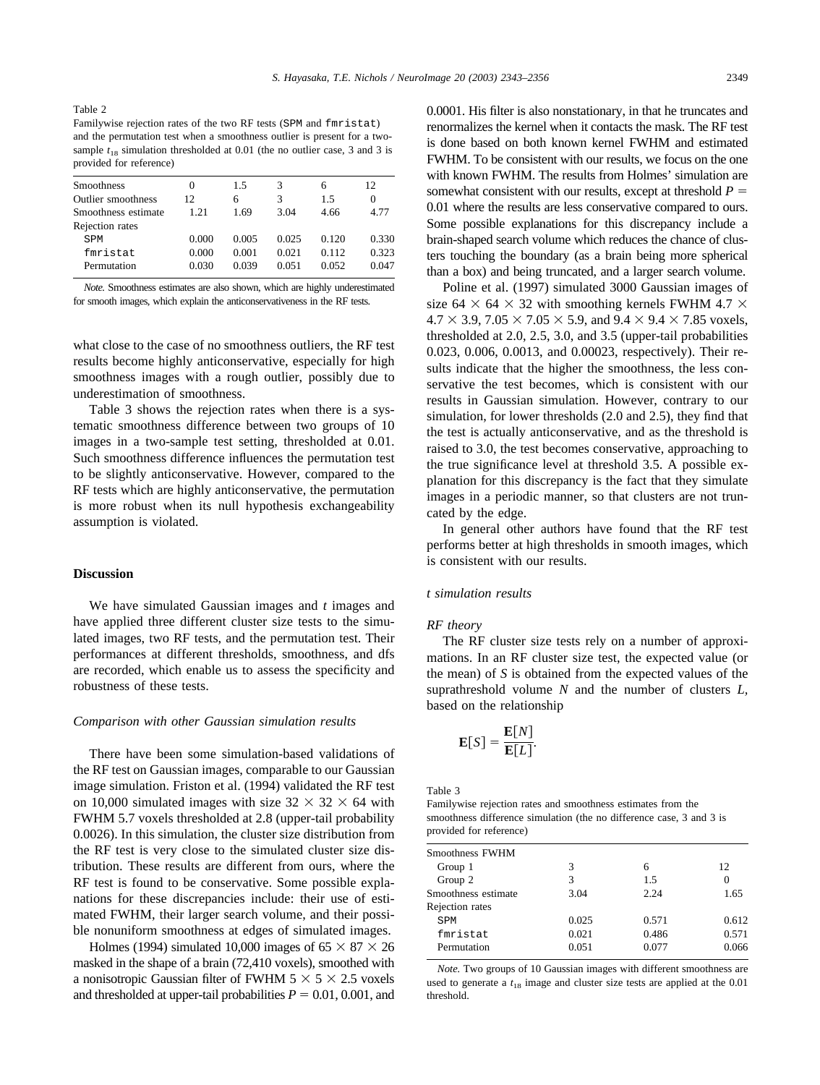<span id="page-6-0"></span>Table 2

Familywise rejection rates of the two RF tests (SPM and fmristat) and the permutation test when a smoothness outlier is present for a twosample  $t_{18}$  simulation thresholded at 0.01 (the no outlier case, 3 and 3 is provided for reference)

| 0     | 1.5   | 3     | 6     | 12    |
|-------|-------|-------|-------|-------|
| 12    | 6     | 3     | 1.5   | 0     |
| 1.21  | 1.69  | 3.04  | 4.66  | 4.77  |
|       |       |       |       |       |
| 0.000 | 0.005 | 0.025 | 0.120 | 0.330 |
| 0.000 | 0.001 | 0.021 | 0.112 | 0.323 |
| 0.030 | 0.039 | 0.051 | 0.052 | 0.047 |
|       |       |       |       |       |

*Note.* Smoothness estimates are also shown, which are highly underestimated for smooth images, which explain the anticonservativeness in the RF tests.

what close to the case of no smoothness outliers, the RF test results become highly anticonservative, especially for high smoothness images with a rough outlier, possibly due to underestimation of smoothness.

Table 3 shows the rejection rates when there is a systematic smoothness difference between two groups of 10 images in a two-sample test setting, thresholded at 0.01. Such smoothness difference influences the permutation test to be slightly anticonservative. However, compared to the RF tests which are highly anticonservative, the permutation is more robust when its null hypothesis exchangeability assumption is violated.

## **Discussion**

We have simulated Gaussian images and *t* images and have applied three different cluster size tests to the simulated images, two RF tests, and the permutation test. Their performances at different thresholds, smoothness, and dfs are recorded, which enable us to assess the specificity and robustness of these tests.

#### *Comparison with other Gaussian simulation results*

There have been some simulation-based validations of the RF test on Gaussian images, comparable to our Gaussian image simulation. [Friston et al. \(1994\)](#page-12-0) validated the RF test on 10,000 simulated images with size  $32 \times 32 \times 64$  with FWHM 5.7 voxels thresholded at 2.8 (upper-tail probability 0.0026). In this simulation, the cluster size distribution from the RF test is very close to the simulated cluster size distribution. These results are different from ours, where the RF test is found to be conservative. Some possible explanations for these discrepancies include: their use of estimated FWHM, their larger search volume, and their possible nonuniform smoothness at edges of simulated images.

[Holmes \(1994\)](#page-12-0) simulated 10,000 images of 65  $\times$  87  $\times$  26 masked in the shape of a brain (72,410 voxels), smoothed with a nonisotropic Gaussian filter of FWHM  $5 \times 5 \times 2.5$  voxels and thresholded at upper-tail probabilities  $P = 0.01, 0.001$ , and 0.0001. His filter is also nonstationary, in that he truncates and renormalizes the kernel when it contacts the mask. The RF test is done based on both known kernel FWHM and estimated FWHM. To be consistent with our results, we focus on the one with known FWHM. The results from Holmes' simulation are somewhat consistent with our results, except at threshold  $P =$ 0.01 where the results are less conservative compared to ours. Some possible explanations for this discrepancy include a brain-shaped search volume which reduces the chance of clusters touching the boundary (as a brain being more spherical than a box) and being truncated, and a larger search volume.

[Poline et al. \(1997\)](#page-13-0) simulated 3000 Gaussian images of size 64  $\times$  64  $\times$  32 with smoothing kernels FWHM 4.7  $\times$  $4.7 \times 3.9, 7.05 \times 7.05 \times 5.9$ , and  $9.4 \times 9.4 \times 7.85$  voxels, thresholded at 2.0, 2.5, 3.0, and 3.5 (upper-tail probabilities 0.023, 0.006, 0.0013, and 0.00023, respectively). Their results indicate that the higher the smoothness, the less conservative the test becomes, which is consistent with our results in Gaussian simulation. However, contrary to our simulation, for lower thresholds (2.0 and 2.5), they find that the test is actually anticonservative, and as the threshold is raised to 3.0, the test becomes conservative, approaching to the true significance level at threshold 3.5. A possible explanation for this discrepancy is the fact that they simulate images in a periodic manner, so that clusters are not truncated by the edge.

In general other authors have found that the RF test performs better at high thresholds in smooth images, which is consistent with our results.

# *t simulation results*

#### *RF theory*

The RF cluster size tests rely on a number of approximations. In an RF cluster size test, the expected value (or the mean) of *S* is obtained from the expected values of the suprathreshold volume *N* and the number of clusters *L,* based on the relationship

$$
\mathbf{E}[S] = \frac{\mathbf{E}[N]}{\mathbf{E}[L]}.
$$

Table 3

Familywise rejection rates and smoothness estimates from the smoothness difference simulation (the no difference case, 3 and 3 is provided for reference)

| Smoothness FWHM     |       |       |       |
|---------------------|-------|-------|-------|
| Group 1             | 3     | 6     | 12    |
| Group 2             | 3     | 1.5   | 0     |
| Smoothness estimate | 3.04  | 2.24  | 1.65  |
| Rejection rates     |       |       |       |
| SPM                 | 0.025 | 0.571 | 0.612 |
| fmristat            | 0.021 | 0.486 | 0.571 |
| Permutation         | 0.051 | 0.077 | 0.066 |
|                     |       |       |       |

*Note.* Two groups of 10 Gaussian images with different smoothness are used to generate a  $t_{18}$  image and cluster size tests are applied at the  $0.01$ threshold.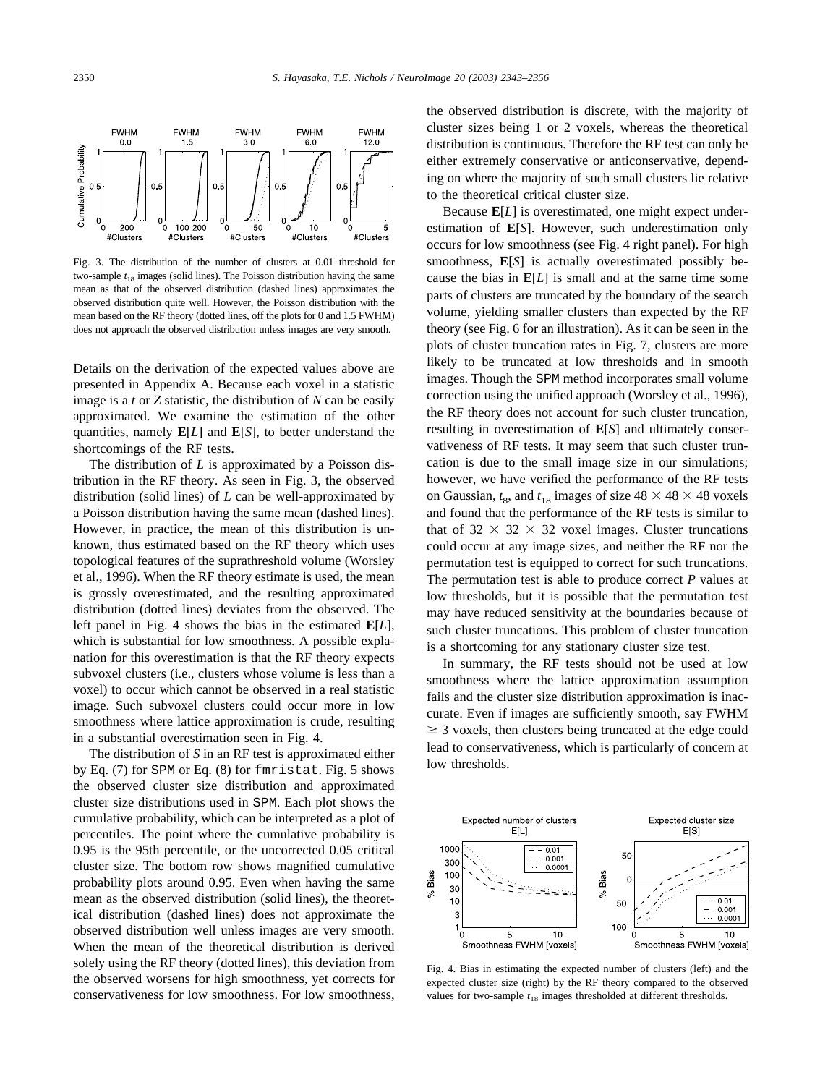

Fig. 3. The distribution of the number of clusters at 0.01 threshold for two-sample  $t_{18}$  images (solid lines). The Poisson distribution having the same mean as that of the observed distribution (dashed lines) approximates the observed distribution quite well. However, the Poisson distribution with the mean based on the RF theory (dotted lines, off the plots for 0 and 1.5 FWHM) does not approach the observed distribution unless images are very smooth.

Details on the derivation of the expected values above are presented in Appendix A. Because each voxel in a statistic image is a *t* or *Z* statistic, the distribution of *N* can be easily approximated. We examine the estimation of the other quantities, namely **E**[*L*] and **E**[*S*], to better understand the shortcomings of the RF tests.

The distribution of *L* is approximated by a Poisson distribution in the RF theory. As seen in Fig. 3, the observed distribution (solid lines) of *L* can be well-approximated by a Poisson distribution having the same mean (dashed lines). However, in practice, the mean of this distribution is unknown, thus estimated based on the RF theory which uses topological features of the suprathreshold volume [\(Worsley](#page-13-0) [et al., 1996\).](#page-13-0) When the RF theory estimate is used, the mean is grossly overestimated, and the resulting approximated distribution (dotted lines) deviates from the observed. The left panel in Fig. 4 shows the bias in the estimated **E**[*L*], which is substantial for low smoothness. A possible explanation for this overestimation is that the RF theory expects subvoxel clusters (i.e., clusters whose volume is less than a voxel) to occur which cannot be observed in a real statistic image. Such subvoxel clusters could occur more in low smoothness where lattice approximation is crude, resulting in a substantial overestimation seen in Fig. 4.

The distribution of *S* in an RF test is approximated either by Eq. (7) for SPM or Eq. (8) for fmristat. [Fig. 5](#page-8-0) shows the observed cluster size distribution and approximated cluster size distributions used in SPM. Each plot shows the cumulative probability, which can be interpreted as a plot of percentiles. The point where the cumulative probability is 0.95 is the 95th percentile, or the uncorrected 0.05 critical cluster size. The bottom row shows magnified cumulative probability plots around 0.95. Even when having the same mean as the observed distribution (solid lines), the theoretical distribution (dashed lines) does not approximate the observed distribution well unless images are very smooth. When the mean of the theoretical distribution is derived solely using the RF theory (dotted lines), this deviation from the observed worsens for high smoothness, yet corrects for conservativeness for low smoothness. For low smoothness,

the observed distribution is discrete, with the majority of cluster sizes being 1 or 2 voxels, whereas the theoretical distribution is continuous. Therefore the RF test can only be either extremely conservative or anticonservative, depending on where the majority of such small clusters lie relative to the theoretical critical cluster size.

Because **E**[*L*] is overestimated, one might expect underestimation of **E**[*S*]. However, such underestimation only occurs for low smoothness (see Fig. 4 right panel). For high smoothness, **E**[*S*] is actually overestimated possibly because the bias in **E**[*L*] is small and at the same time some parts of clusters are truncated by the boundary of the search volume, yielding smaller clusters than expected by the RF theory (see [Fig. 6](#page-8-0) for an illustration). As it can be seen in the plots of cluster truncation rates in [Fig. 7,](#page-9-0) clusters are more likely to be truncated at low thresholds and in smooth images. Though the SPM method incorporates small volume correction using the unified approach [\(Worsley et al., 1996\),](#page-13-0) the RF theory does not account for such cluster truncation, resulting in overestimation of **E**[*S*] and ultimately conservativeness of RF tests. It may seem that such cluster truncation is due to the small image size in our simulations; however, we have verified the performance of the RF tests on Gaussian,  $t_8$ , and  $t_{18}$  images of size  $48 \times 48 \times 48$  voxels and found that the performance of the RF tests is similar to that of  $32 \times 32 \times 32$  voxel images. Cluster truncations could occur at any image sizes, and neither the RF nor the permutation test is equipped to correct for such truncations. The permutation test is able to produce correct *P* values at low thresholds, but it is possible that the permutation test may have reduced sensitivity at the boundaries because of such cluster truncations. This problem of cluster truncation is a shortcoming for any stationary cluster size test.

In summary, the RF tests should not be used at low smoothness where the lattice approximation assumption fails and the cluster size distribution approximation is inaccurate. Even if images are sufficiently smooth, say FWHM  $\geq$  3 voxels, then clusters being truncated at the edge could lead to conservativeness, which is particularly of concern at low thresholds.



Fig. 4. Bias in estimating the expected number of clusters (left) and the expected cluster size (right) by the RF theory compared to the observed values for two-sample  $t_{18}$  images thresholded at different thresholds.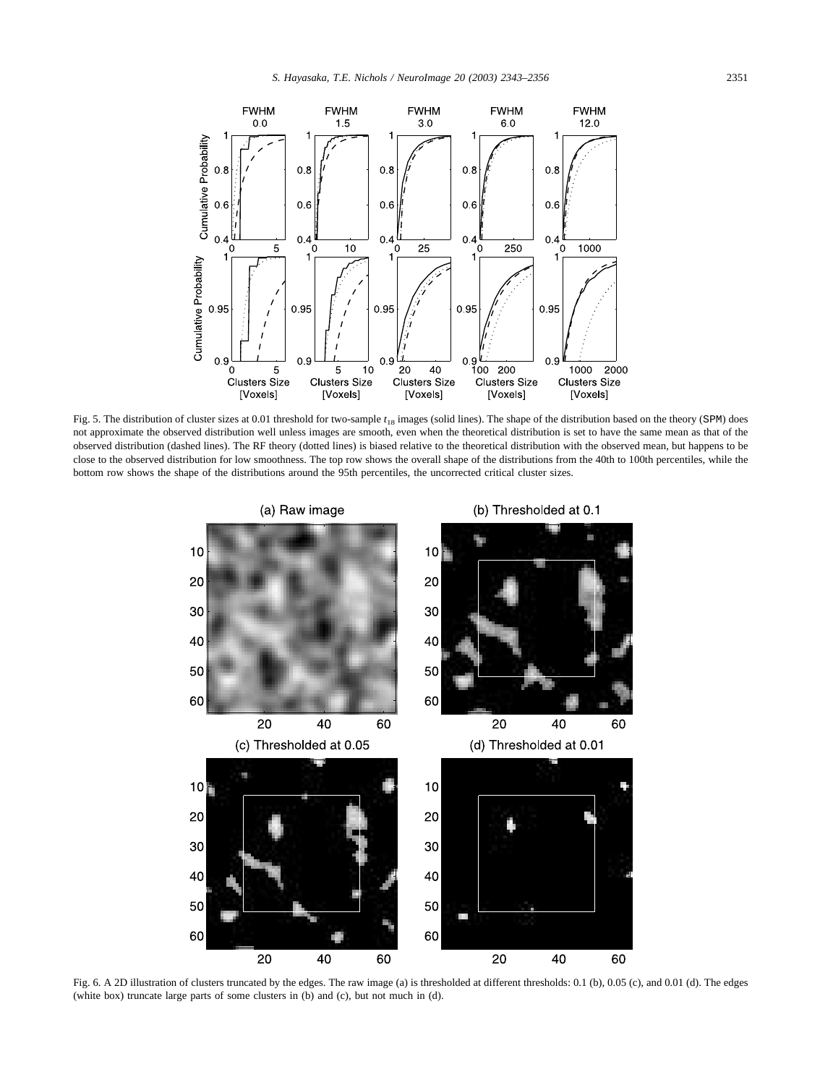<span id="page-8-0"></span>

Fig. 5. The distribution of cluster sizes at 0.01 threshold for two-sample  $t_{18}$  images (solid lines). The shape of the distribution based on the theory (SPM) does not approximate the observed distribution well unless images are smooth, even when the theoretical distribution is set to have the same mean as that of the observed distribution (dashed lines). The RF theory (dotted lines) is biased relative to the theoretical distribution with the observed mean, but happens to be close to the observed distribution for low smoothness. The top row shows the overall shape of the distributions from the 40th to 100th percentiles, while the bottom row shows the shape of the distributions around the 95th percentiles, the uncorrected critical cluster sizes.



Fig. 6. A 2D illustration of clusters truncated by the edges. The raw image (a) is thresholded at different thresholds: 0.1 (b), 0.05 (c), and 0.01 (d). The edges (white box) truncate large parts of some clusters in (b) and (c), but not much in (d).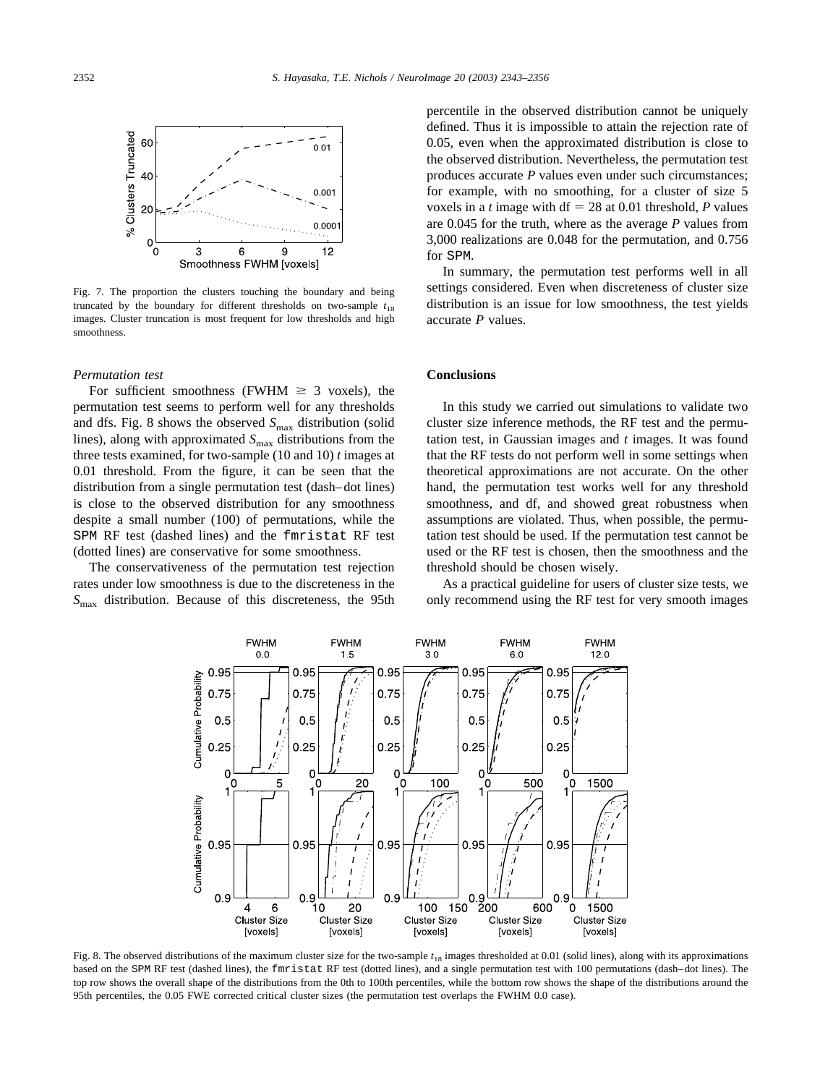<span id="page-9-0"></span>

Fig. 7. The proportion the clusters touching the boundary and being truncated by the boundary for different thresholds on two-sample  $t_{18}$ images. Cluster truncation is most frequent for low thresholds and high smoothness.

## *Permutation test*

For sufficient smoothness (FWHM  $\geq$  3 voxels), the permutation test seems to perform well for any thresholds and dfs. Fig. 8 shows the observed  $S<sub>max</sub>$  distribution (solid lines), along with approximated  $S_{\text{max}}$  distributions from the three tests examined, for two-sample (10 and 10) *t* images at 0.01 threshold. From the figure, it can be seen that the distribution from a single permutation test (dash–dot lines) is close to the observed distribution for any smoothness despite a small number (100) of permutations, while the SPM RF test (dashed lines) and the fmristat RF test (dotted lines) are conservative for some smoothness.

The conservativeness of the permutation test rejection rates under low smoothness is due to the discreteness in the *S*max distribution. Because of this discreteness, the 95th

percentile in the observed distribution cannot be uniquely defined. Thus it is impossible to attain the rejection rate of 0.05, even when the approximated distribution is close to the observed distribution. Nevertheless, the permutation test produces accurate *P* values even under such circumstances; for example, with no smoothing, for a cluster of size 5 voxels in a *t* image with  $df = 28$  at 0.01 threshold, *P* values are 0.045 for the truth, where as the average *P* values from 3,000 realizations are 0.048 for the permutation, and 0.756 for SPM.

In summary, the permutation test performs well in all settings considered. Even when discreteness of cluster size distribution is an issue for low smoothness, the test yields accurate *P* values.

# **Conclusions**

In this study we carried out simulations to validate two cluster size inference methods, the RF test and the permutation test, in Gaussian images and *t* images. It was found that the RF tests do not perform well in some settings when theoretical approximations are not accurate. On the other hand, the permutation test works well for any threshold smoothness, and df, and showed great robustness when assumptions are violated. Thus, when possible, the permutation test should be used. If the permutation test cannot be used or the RF test is chosen, then the smoothness and the threshold should be chosen wisely.

As a practical guideline for users of cluster size tests, we only recommend using the RF test for very smooth images



Fig. 8. The observed distributions of the maximum cluster size for the two-sample  $t_{18}$  images thresholded at 0.01 (solid lines), along with its approximations based on the SPM RF test (dashed lines), the fmristat RF test (dotted lines), and a single permutation test with 100 permutations (dash–dot lines). The top row shows the overall shape of the distributions from the 0th to 100th percentiles, while the bottom row shows the shape of the distributions around the 95th percentiles, the 0.05 FWE corrected critical cluster sizes (the permutation test overlaps the FWHM 0.0 case).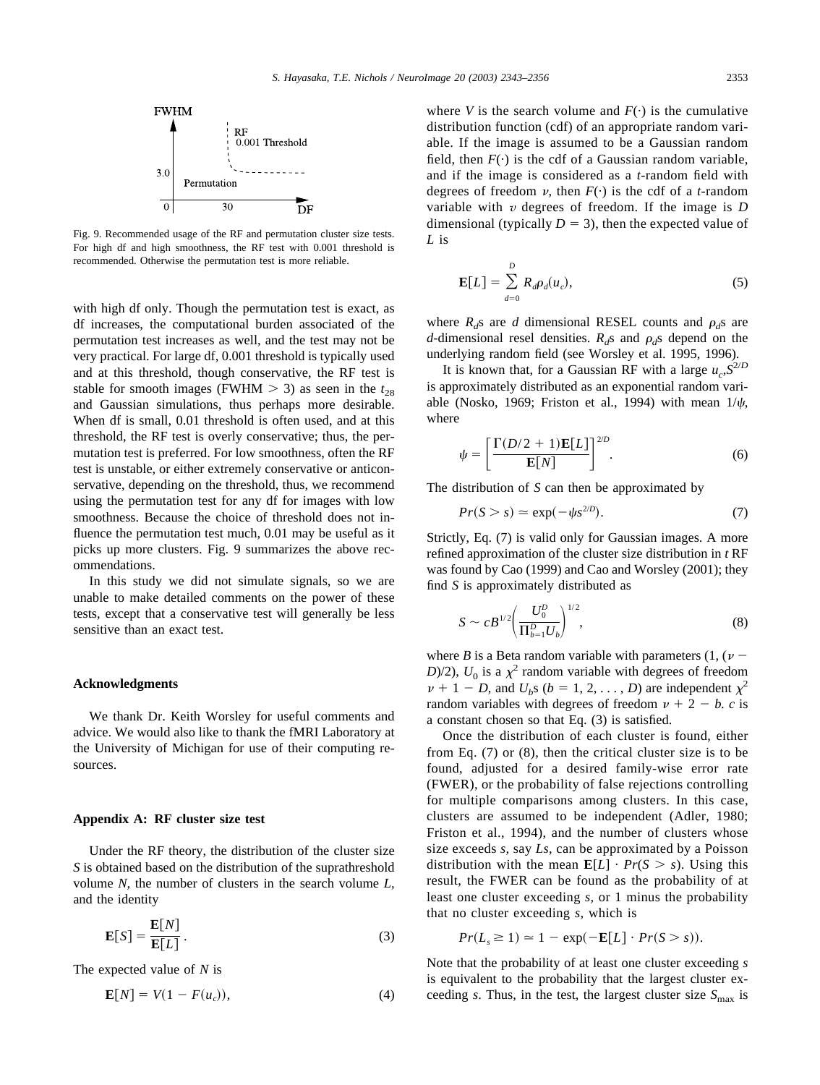

Fig. 9. Recommended usage of the RF and permutation cluster size tests. For high df and high smoothness, the RF test with 0.001 threshold is recommended. Otherwise the permutation test is more reliable.

with high df only. Though the permutation test is exact, as df increases, the computational burden associated of the permutation test increases as well, and the test may not be very practical. For large df, 0.001 threshold is typically used and at this threshold, though conservative, the RF test is stable for smooth images (FWHM  $>$  3) as seen in the  $t_{28}$ and Gaussian simulations, thus perhaps more desirable. When df is small, 0.01 threshold is often used, and at this threshold, the RF test is overly conservative; thus, the permutation test is preferred. For low smoothness, often the RF test is unstable, or either extremely conservative or anticonservative, depending on the threshold, thus, we recommend using the permutation test for any df for images with low smoothness. Because the choice of threshold does not influence the permutation test much, 0.01 may be useful as it picks up more clusters. Fig. 9 summarizes the above recommendations.

In this study we did not simulate signals, so we are unable to make detailed comments on the power of these tests, except that a conservative test will generally be less sensitive than an exact test.

## **Acknowledgments**

We thank Dr. Keith Worsley for useful comments and advice. We would also like to thank the fMRI Laboratory at the University of Michigan for use of their computing resources.

## **Appendix A: RF cluster size test**

Under the RF theory, the distribution of the cluster size *S* is obtained based on the distribution of the suprathreshold volume *N,* the number of clusters in the search volume *L,* and the identity

$$
\mathbf{E}[S] = \frac{\mathbf{E}[N]}{\mathbf{E}[L]}.
$$
 (3)

The expected value of *N* is

$$
\mathbf{E}[N] = V(1 - F(u_c)),\tag{4}
$$

where *V* is the search volume and  $F(\cdot)$  is the cumulative distribution function (cdf) of an appropriate random variable. If the image is assumed to be a Gaussian random field, then  $F(\cdot)$  is the cdf of a Gaussian random variable, and if the image is considered as a *t*-random field with degrees of freedom  $\nu$ , then  $F(\cdot)$  is the cdf of a *t*-random variable with *v* degrees of freedom. If the image is *D* dimensional (typically  $D = 3$ ), then the expected value of *L* is

$$
\mathbf{E}[L] = \sum_{d=0}^{D} R_d \rho_d(u_c), \qquad (5)
$$

where  $R_d$ s are *d* dimensional RESEL counts and  $\rho_d$ s are d-dimensional resel densities.  $R_d$ s and  $\rho_d$ s depend on the underlying random field (see [Worsley et al. 1995, 1996\).](#page-13-0)

It is known that, for a Gaussian RF with a large  $u_c$ ,  $S^{2/D}$ is approximately distributed as an exponential random vari-able [\(Nosko, 1969; Friston et al., 1994\)](#page-13-0) with mean  $1/\psi$ , where

$$
\psi = \left[\frac{\Gamma(D/2 + 1)\mathbf{E}[L]}{\mathbf{E}[N]}\right]^{2D}.\tag{6}
$$

The distribution of *S* can then be approximated by

$$
Pr(S > s) \simeq \exp(-\psi s^{2/D}).\tag{7}
$$

Strictly, Eq. (7) is valid only for Gaussian images. A more refined approximation of the cluster size distribution in *t* RF was found by [Cao \(1999\)](#page-12-0) and [Cao and Worsley \(2001\);](#page-12-0) they find *S* is approximately distributed as

$$
S \sim c B^{1/2} \bigg( \frac{U_0^D}{\Pi_{b=1}^D U_b} \bigg)^{1/2},\tag{8}
$$

where *B* is a Beta random variable with parameters  $(1, (v -$ *D*)/2),  $U_0$  is a  $\chi^2$  random variable with degrees of freedom  $\nu + 1 - D$ , and  $U_b$ s ( $b = 1, 2, ..., D$ ) are independent  $\chi^2$ random variables with degrees of freedom  $\nu + 2 - b$ . *c* is a constant chosen so that Eq. (3) is satisfied.

Once the distribution of each cluster is found, either from Eq. (7) or (8), then the critical cluster size is to be found, adjusted for a desired family-wise error rate (FWER), or the probability of false rejections controlling for multiple comparisons among clusters. In this case, clusters are assumed to be independent [\(Adler, 1980;](#page-12-0) [Friston et al., 1994\),](#page-12-0) and the number of clusters whose size exceeds *s,* say *Ls,* can be approximated by a Poisson distribution with the mean  $\mathbf{E}[L] \cdot Pr(S > s)$ . Using this result, the FWER can be found as the probability of at least one cluster exceeding *s,* or 1 minus the probability that no cluster exceeding *s,* which is

$$
Pr(Ls \ge 1) \approx 1 - \exp(-\mathbf{E}[L] \cdot Pr(S > s)).
$$

Note that the probability of at least one cluster exceeding *s* is equivalent to the probability that the largest cluster exceeding *s*. Thus, in the test, the largest cluster size  $S_{\text{max}}$  is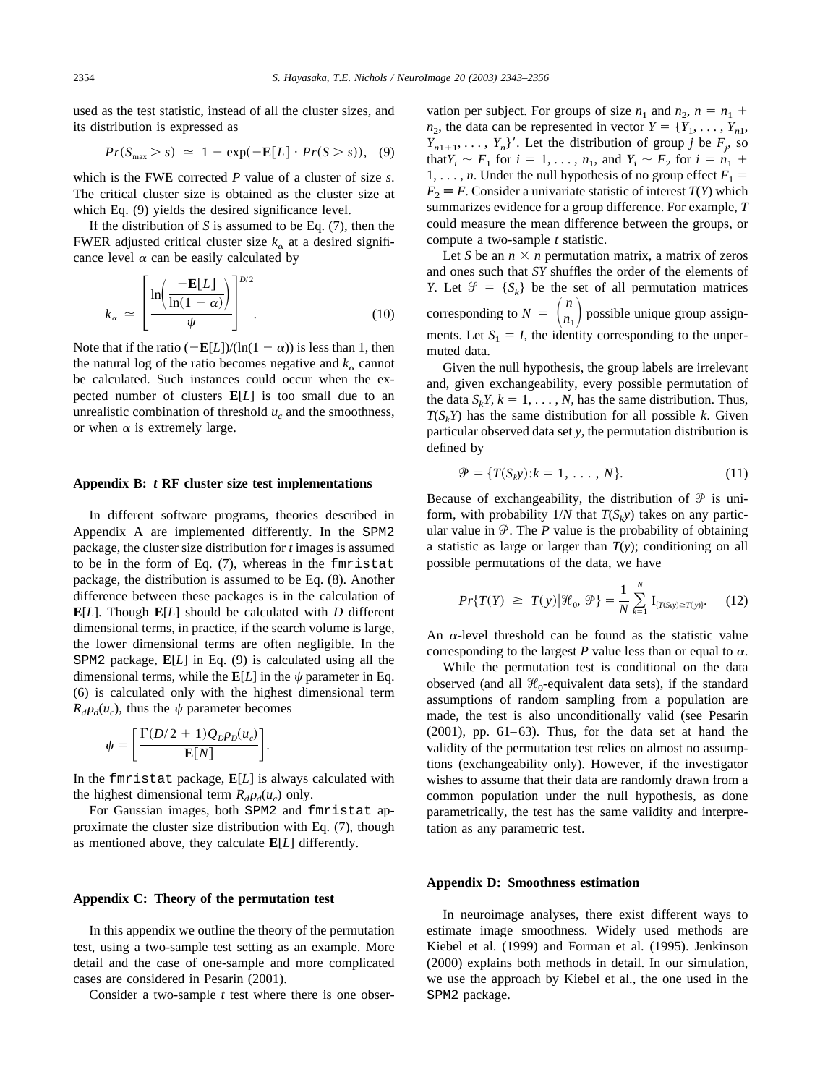used as the test statistic, instead of all the cluster sizes, and its distribution is expressed as

$$
Pr(S_{\text{max}} > s) \simeq 1 - \exp(-\mathbf{E}[L] \cdot Pr(S > s)), \quad (9)
$$

which is the FWE corrected *P* value of a cluster of size *s*. The critical cluster size is obtained as the cluster size at which Eq. (9) yields the desired significance level.

If the distribution of *S* is assumed to be Eq. (7), then the FWER adjusted critical cluster size  $k_{\alpha}$  at a desired significance level  $\alpha$  can be easily calculated by

$$
k_{\alpha} \simeq \left[ \frac{\ln \left( \frac{-\mathbf{E}[L]}{\ln(1-\alpha)} \right)}{\psi} \right]^{D/2}.
$$
 (10)

Note that if the ratio  $(-E[L])/(ln(1 - \alpha))$  is less than 1, then the natural log of the ratio becomes negative and  $k_\alpha$  cannot be calculated. Such instances could occur when the expected number of clusters **E**[*L*] is too small due to an unrealistic combination of threshold  $u_c$  and the smoothness, or when  $\alpha$  is extremely large.

#### **Appendix B:** *t* **RF cluster size test implementations**

In different software programs, theories described in Appendix A are implemented differently. In the SPM2 package, the cluster size distribution for *t* images is assumed to be in the form of Eq. (7), whereas in the fmristat package, the distribution is assumed to be Eq. (8). Another difference between these packages is in the calculation of **E**[*L*]. Though **E**[*L*] should be calculated with *D* different dimensional terms, in practice, if the search volume is large, the lower dimensional terms are often negligible. In the SPM2 package, **E**[*L*] in Eq. (9) is calculated using all the dimensional terms, while the  $E[L]$  in the  $\psi$  parameter in Eq. (6) is calculated only with the highest dimensional term  $R_d \rho_d(u_c)$ , thus the  $\psi$  parameter becomes

$$
\psi = \left[ \frac{\Gamma(D/2 + 1)Q_D \rho_D(u_c)}{\mathbf{E}[N]} \right].
$$

In the fmristat package, **E**[*L*] is always calculated with the highest dimensional term  $R_d \rho_d(u_c)$  only.

For Gaussian images, both SPM2 and fmristat approximate the cluster size distribution with Eq. (7), though as mentioned above, they calculate **E**[*L*] differently.

#### **Appendix C: Theory of the permutation test**

In this appendix we outline the theory of the permutation test, using a two-sample test setting as an example. More detail and the case of one-sample and more complicated cases are considered in [Pesarin \(2001\).](#page-13-0)

Consider a two-sample *t* test where there is one obser-

vation per subject. For groups of size  $n_1$  and  $n_2$ ,  $n = n_1 +$  $n_2$ , the data can be represented in vector  $Y = \{Y_1, \ldots, Y_n\}$ ,  $Y_{n1+1}, \ldots, Y_n$ '. Let the distribution of group *j* be  $F_j$  so that  $Y_i \sim F_1$  for  $i = 1, ..., n_1$ , and  $Y_i \sim F_2$  for  $i = n_1 +$ 1, ..., *n*. Under the null hypothesis of no group effect  $F_1$  =  $F_2 \equiv F$ . Consider a univariate statistic of interest *T*(*Y*) which summarizes evidence for a group difference. For example, *T* could measure the mean difference between the groups, or compute a two-sample *t* statistic.

Let *S* be an  $n \times n$  permutation matrix, a matrix of zeros and ones such that *SY* shuffles the order of the elements of *Y*. Let  $\mathcal{G} = \{S_k\}$  be the set of all permutation matrices corresponding to  $N = \begin{pmatrix} n \\ n_1 \end{pmatrix}$  ${n \choose n_1}$  possible unique group assignments. Let  $S_1 = I$ , the identity corresponding to the unpermuted data.

Given the null hypothesis, the group labels are irrelevant and, given exchangeability, every possible permutation of the data  $S_k Y$ ,  $k = 1, \ldots, N$ , has the same distribution. Thus,  $T(S_k Y)$  has the same distribution for all possible *k*. Given particular observed data set *y,* the permutation distribution is defined by

$$
\mathcal{P} = \{T(S_k y): k = 1, \ldots, N\}.
$$
\n
$$
(11)
$$

Because of exchangeability, the distribution of  $\mathcal P$  is uniform, with probability  $1/N$  that  $T(S_k y)$  takes on any particular value in  $\mathcal{P}$ . The  $P$  value is the probability of obtaining a statistic as large or larger than *T*(*y*); conditioning on all possible permutations of the data, we have

$$
Pr\{T(Y) \geq T(y) | \mathcal{H}_0, \mathcal{P}\} = \frac{1}{N} \sum_{k=1}^{N} \mathbf{I}_{\{T(S_k y) \geq T(y)\}}.
$$
 (12)

An  $\alpha$ -level threshold can be found as the statistic value corresponding to the largest  $P$  value less than or equal to  $\alpha$ .

While the permutation test is conditional on the data observed (and all  $\mathcal{H}_0$ -equivalent data sets), if the standard assumptions of random sampling from a population are made, the test is also unconditionally valid (see [Pesarin](#page-13-0)  $(2001)$ , pp.  $61-63$ ). Thus, for the data set at hand the validity of the permutation test relies on almost no assumptions (exchangeability only). However, if the investigator wishes to assume that their data are randomly drawn from a common population under the null hypothesis, as done parametrically, the test has the same validity and interpretation as any parametric test.

# **Appendix D: Smoothness estimation**

In neuroimage analyses, there exist different ways to estimate image smoothness. Widely used methods are [Kiebel et al. \(1999\)](#page-13-0) and [Forman et al. \(1995\). Jenkinson](#page-12-0) [\(2000\)](#page-12-0) explains both methods in detail. In our simulation, we use the approach by Kiebel et al., the one used in the SPM2 package.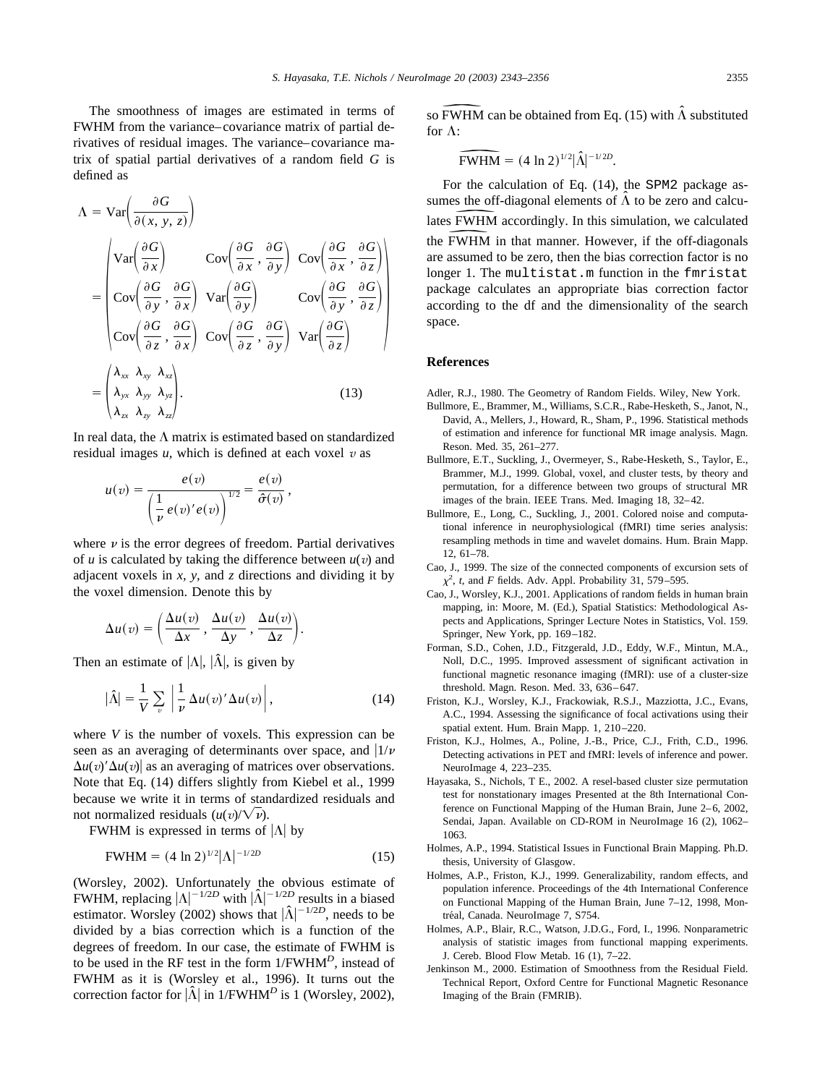<span id="page-12-0"></span>The smoothness of images are estimated in terms of FWHM from the variance–covariance matrix of partial derivatives of residual images. The variance–covariance matrix of spatial partial derivatives of a random field *G* is defined as

$$
\Lambda = \text{Var}\left(\frac{\partial G}{\partial(x, y, z)}\right)
$$
\n
$$
= \begin{pmatrix}\n\text{Var}\left(\frac{\partial G}{\partial x}\right) & \text{Cov}\left(\frac{\partial G}{\partial x}, \frac{\partial G}{\partial y}\right) & \text{Cov}\left(\frac{\partial G}{\partial x}, \frac{\partial G}{\partial z}\right) \\
\text{Cov}\left(\frac{\partial G}{\partial y}, \frac{\partial G}{\partial x}\right) & \text{Var}\left(\frac{\partial G}{\partial y}\right) & \text{Cov}\left(\frac{\partial G}{\partial y}, \frac{\partial G}{\partial z}\right) \\
\text{Cov}\left(\frac{\partial G}{\partial z}, \frac{\partial G}{\partial x}\right) & \text{Cov}\left(\frac{\partial G}{\partial z}, \frac{\partial G}{\partial y}\right) & \text{Var}\left(\frac{\partial G}{\partial z}\right)\n\end{pmatrix}
$$
\n
$$
= \begin{pmatrix}\n\lambda_{xx} & \lambda_{xy} & \lambda_{xz} \\
\lambda_{yx} & \lambda_{yy} & \lambda_{yz} \\
\lambda_{zx} & \lambda_{zy} & \lambda_{zz}\n\end{pmatrix}.
$$
\n(13)

In real data, the  $\Lambda$  matrix is estimated based on standardized residual images  $u$ , which is defined at each voxel  $v$  as

$$
u(v) = \frac{e(v)}{\left(\frac{1}{v}e(v)'e(v)\right)^{1/2}} = \frac{e(v)}{\hat{\sigma}(v)},
$$

where  $\nu$  is the error degrees of freedom. Partial derivatives of *u* is calculated by taking the difference between *u*(*v*) and adjacent voxels in *x, y,* and *z* directions and dividing it by the voxel dimension. Denote this by

$$
\Delta u(v) = \left(\frac{\Delta u(v)}{\Delta x}, \frac{\Delta u(v)}{\Delta y}, \frac{\Delta u(v)}{\Delta z}\right).
$$

Then an estimate of  $|\Lambda|$ ,  $|\hat{\Lambda}|$ , is given by

$$
|\hat{\Lambda}| = \frac{1}{V} \sum_{v} \left| \frac{1}{\nu} \Delta u(v)' \Delta u(v) \right|,
$$
 (14)

where *V* is the number of voxels. This expression can be seen as an averaging of determinants over space, and  $1/\nu$  $\Delta u(v)' \Delta u(v)$  as an averaging of matrices over observations. Note that Eq. (14) differs slightly from [Kiebel et al., 1999](#page-13-0) because we write it in terms of standardized residuals and not normalized residuals  $(u(v)/\sqrt{\nu})$ .

FWHM is expressed in terms of  $|\Lambda|$  by

$$
FWHM = (4 \ln 2)^{1/2} |\Lambda|^{-1/2D} \tag{15}
$$

[\(Worsley, 2002\).](#page-13-0) Unfortunately the obvious estimate of FWHM, replacing  $|\Lambda|^{-1/2D}$  with  $|\hat{\Lambda}|^{-1/2D}$  results in a biased estimator. [Worsley \(2002\)](#page-13-0) shows that  $|\hat{\Lambda}|^{-1/2D}$ , needs to be divided by a bias correction which is a function of the degrees of freedom. In our case, the estimate of FWHM is to be used in the RF test in the form 1/FWHM*D,* instead of FWHM as it is [\(Worsley et al., 1996\).](#page-13-0) It turns out the correction factor for  $|\hat{\Lambda}|$  in 1/FWHM<sup>D</sup> is 1 [\(Worsley, 2002\),](#page-13-0)

mage 20 (20)<br>so FWHM<br>for  $\Lambda$ : can be obtained from Eq. (15) with  $\hat{\Lambda}$  substituted for  $\Lambda$ : 0 (2003)<br>FM ca:<br>FWHM<br>r the ca

$$
\widehat{\text{FWHM}} = (4 \ln 2)^{1/2} |\hat{\Lambda}|^{-1/2D}.
$$

For the calculation of Eq. (14), the SPM2 package assumes the off-diagonal elements of  $\hat{\Lambda}$  to be zero and calcufor  $\Lambda$ :<br>
FWHM<br>
For the casumes the of<br>
lates FWHM<br>
the FWHM lates FWHM accordingly. In this simulation, we calculated FWH<br>For the o<br>sumes the o<br>lates FWHM<br>the FWHM<br>are assumed the FWHM in that manner. However, if the off-diagonals are assumed to be zero, then the bias correction factor is no longer 1. The multistat.m function in the fmristat package calculates an appropriate bias correction factor according to the df and the dimensionality of the search space.

## **References**

- Adler, R.J., 1980. The Geometry of Random Fields. Wiley, New York.
- Bullmore, E., Brammer, M., Williams, S.C.R., Rabe-Hesketh, S., Janot, N., David, A., Mellers, J., Howard, R., Sham, P., 1996. Statistical methods of estimation and inference for functional MR image analysis. Magn. Reson. Med. 35, 261–277.
- Bullmore, E.T., Suckling, J., Overmeyer, S., Rabe-Hesketh, S., Taylor, E., Brammer, M.J., 1999. Global, voxel, and cluster tests, by theory and permutation, for a difference between two groups of structural MR images of the brain. IEEE Trans. Med. Imaging 18, 32–42.
- Bullmore, E., Long, C., Suckling, J., 2001. Colored noise and computational inference in neurophysiological (fMRI) time series analysis: resampling methods in time and wavelet domains. Hum. Brain Mapp. 12, 61–78.
- Cao, J., 1999. The size of the connected components of excursion sets of  $\chi^2$ , *t*, and *F* fields. Adv. Appl. Probability 31, 579–595.
- Cao, J., Worsley, K.J., 2001. Applications of random fields in human brain mapping, in: Moore, M. (Ed.), Spatial Statistics: Methodological Aspects and Applications, Springer Lecture Notes in Statistics, Vol. 159. Springer, New York, pp. 169–182.
- Forman, S.D., Cohen, J.D., Fitzgerald, J.D., Eddy, W.F., Mintun, M.A., Noll, D.C., 1995. Improved assessment of significant activation in functional magnetic resonance imaging (fMRI): use of a cluster-size threshold. Magn. Reson. Med. 33, 636–647.
- Friston, K.J., Worsley, K.J., Frackowiak, R.S.J., Mazziotta, J.C., Evans, A.C., 1994. Assessing the significance of focal activations using their spatial extent. Hum. Brain Mapp. 1, 210–220.
- Friston, K.J., Holmes, A., Poline, J.-B., Price, C.J., Frith, C.D., 1996. Detecting activations in PET and fMRI: levels of inference and power. NeuroImage 4, 223–235.
- Hayasaka, S., Nichols, T E., 2002. A resel-based cluster size permutation test for nonstationary images Presented at the 8th International Conference on Functional Mapping of the Human Brain, June 2–6, 2002, Sendai, Japan. Available on CD-ROM in NeuroImage 16 (2), 1062– 1063.
- Holmes, A.P., 1994. Statistical Issues in Functional Brain Mapping. Ph.D. thesis, University of Glasgow.
- Holmes, A.P., Friston, K.J., 1999. Generalizability, random effects, and population inference. Proceedings of the 4th International Conference on Functional Mapping of the Human Brain, June 7–12, 1998, Montréal, Canada. NeuroImage 7, S754.
- Holmes, A.P., Blair, R.C., Watson, J.D.G., Ford, I., 1996. Nonparametric analysis of statistic images from functional mapping experiments. J. Cereb. Blood Flow Metab. 16 (1), 7–22.
- Jenkinson M., 2000. Estimation of Smoothness from the Residual Field. Technical Report, Oxford Centre for Functional Magnetic Resonance Imaging of the Brain (FMRIB).